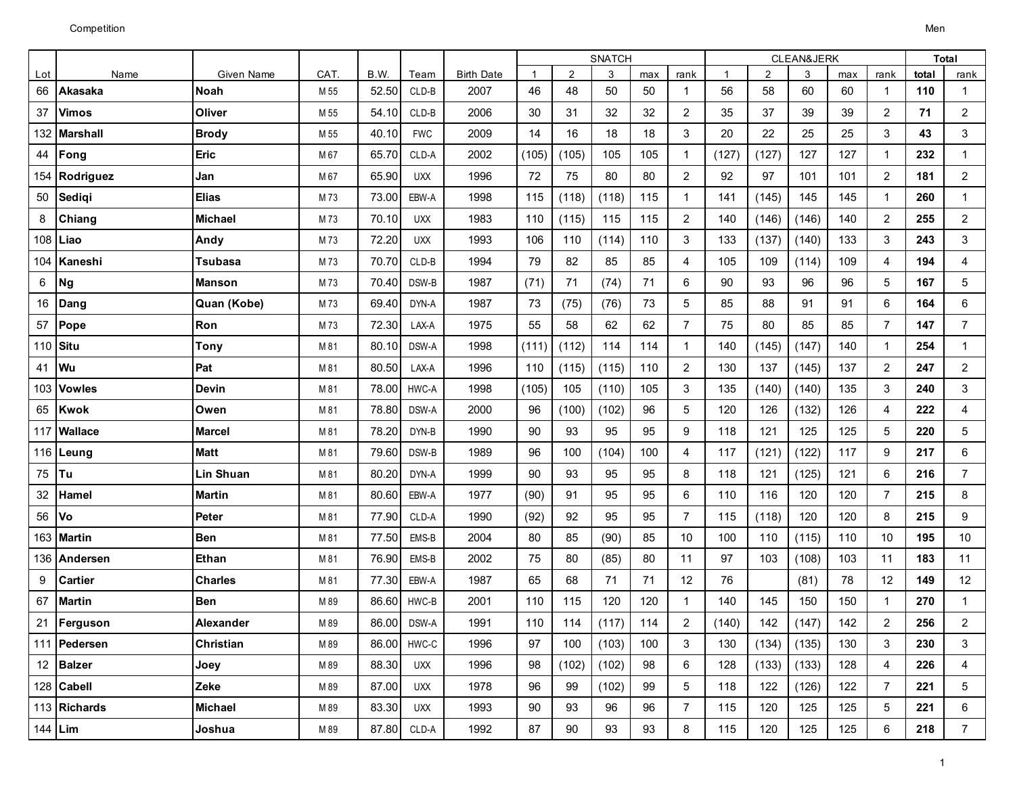|          |                 |                   |      |       |             |                   | <b>SNATCH</b> |       |       |     |                |              | CLEAN&JERK     | <b>Total</b> |     |                |       |                |
|----------|-----------------|-------------------|------|-------|-------------|-------------------|---------------|-------|-------|-----|----------------|--------------|----------------|--------------|-----|----------------|-------|----------------|
| Lot      | Name            | <b>Given Name</b> | CAT. | B.W.  | Team        | <b>Birth Date</b> | $\mathbf{1}$  | 2     | 3     | max | rank           | $\mathbf{1}$ | $\overline{2}$ | 3            | max | rank           | total | rank           |
| 66       | Akasaka         | <b>Noah</b>       | M 55 | 52.50 | CLD-B       | 2007              | 46            | 48    | 50    | 50  | $\mathbf{1}$   | 56           | 58             | 60           | 60  | $\mathbf{1}$   | 110   | $\mathbf{1}$   |
| 37       | <b>Vimos</b>    | Oliver            | M 55 | 54.10 | CLD-B       | 2006              | 30            | 31    | 32    | 32  | $\overline{2}$ | 35           | 37             | 39           | 39  | $\overline{2}$ | 71    | $\overline{c}$ |
| 132      | <b>Marshall</b> | <b>Brody</b>      | M 55 | 40.10 | <b>FWC</b>  | 2009              | 14            | 16    | 18    | 18  | 3              | 20           | 22             | 25           | 25  | 3              | 43    | 3              |
| 44       | Fong            | <b>Eric</b>       | M 67 | 65.70 | CLD-A       | 2002              | (105)         | (105) | 105   | 105 | $\mathbf{1}$   | (127)        | (127)          | 127          | 127 | $\mathbf{1}$   | 232   | $\mathbf{1}$   |
|          | 154 Rodriguez   | Jan               | M 67 | 65.90 | <b>UXX</b>  | 1996              | 72            | 75    | 80    | 80  | $\overline{2}$ | 92           | 97             | 101          | 101 | 2              | 181   | $\overline{c}$ |
| 50       | Sediqi          | <b>Elias</b>      | M73  | 73.00 | EBW-A       | 1998              | 115           | (118) | (118) | 115 | $\mathbf{1}$   | 141          | (145)          | 145          | 145 | $\mathbf{1}$   | 260   | $\mathbf{1}$   |
| 8        | Chiang          | <b>Michael</b>    | M73  | 70.10 | <b>UXX</b>  | 1983              | 110           | (115) | 115   | 115 | $\overline{2}$ | 140          | (146)          | (146)        | 140 | $\overline{c}$ | 255   | $\overline{c}$ |
| 108      | Liao            | Andy              | M73  | 72.20 | <b>UXX</b>  | 1993              | 106           | 110   | (114) | 110 | 3              | 133          | (137)          | (140)        | 133 | 3              | 243   | 3              |
| 104      | Kaneshi         | Tsubasa           | M73  | 70.70 | $CLD-B$     | 1994              | 79            | 82    | 85    | 85  | 4              | 105          | 109            | (114)        | 109 | $\overline{4}$ | 194   | $\overline{4}$ |
| 6        | <b>Ng</b>       | <b>Manson</b>     | M73  | 70.40 | DSW-B       | 1987              | (71)          | 71    | (74)  | 71  | 6              | 90           | 93             | 96           | 96  | 5              | 167   | 5              |
| 16       | Dang            | Quan (Kobe)       | M73  | 69.40 | DYN-A       | 1987              | 73            | (75)  | (76)  | 73  | 5              | 85           | 88             | 91           | 91  | 6              | 164   | 6              |
| 57       | Pope            | Ron               | M73  | 72.30 | LAX-A       | 1975              | 55            | 58    | 62    | 62  | $\overline{7}$ | 75           | 80             | 85           | 85  | $\overline{7}$ | 147   | $\overline{7}$ |
| 110 Situ |                 | Tony              | M 81 | 80.10 | DSW-A       | 1998              | (111)         | (112) | 114   | 114 | $\mathbf{1}$   | 140          | (145)          | (147)        | 140 | $\mathbf{1}$   | 254   | $\mathbf{1}$   |
| 41       | Wu              | Pat               | M 81 | 80.50 | LAX-A       | 1996              | 110           | (115) | (115) | 110 | $\overline{2}$ | 130          | 137            | (145)        | 137 | 2              | 247   | $\overline{2}$ |
| 103      | <b>Vowles</b>   | <b>Devin</b>      | M 81 | 78.00 | HWC-A       | 1998              | (105)         | 105   | (110) | 105 | 3              | 135          | (140)          | (140)        | 135 | 3              | 240   | 3              |
| 65       | <b>Kwok</b>     | Owen              | M 81 | 78.80 | DSW-A       | 2000              | 96            | (100) | (102) | 96  | $\sqrt{5}$     | 120          | 126            | (132)        | 126 | $\overline{4}$ | 222   | 4              |
| 117      | <b>Wallace</b>  | <b>Marcel</b>     | M 81 | 78.20 | DYN-B       | 1990              | 90            | 93    | 95    | 95  | 9              | 118          | 121            | 125          | 125 | 5              | 220   | 5              |
| 116      | Leung           | <b>Matt</b>       | M 81 | 79.60 | DSW-B       | 1989              | 96            | 100   | (104) | 100 | 4              | 117          | (121)          | (122)        | 117 | 9              | 217   | 6              |
| 75       | <b>Tu</b>       | Lin Shuan         | M 81 | 80.20 | DYN-A       | 1999              | 90            | 93    | 95    | 95  | 8              | 118          | 121            | (125)        | 121 | 6              | 216   | $\overline{7}$ |
| 32       | Hamel           | <b>Martin</b>     | M 81 | 80.60 | EBW-A       | 1977              | (90)          | 91    | 95    | 95  | 6              | 110          | 116            | 120          | 120 | $\overline{7}$ | 215   | 8              |
| 56       | Vo              | Peter             | M 81 | 77.90 | CLD-A       | 1990              | (92)          | 92    | 95    | 95  | $\overline{7}$ | 115          | (118)          | 120          | 120 | 8              | 215   | 9              |
| 163      | <b>Martin</b>   | <b>Ben</b>        | M 81 | 77.50 | EMS-B       | 2004              | 80            | 85    | (90)  | 85  | 10             | 100          | 110            | (115)        | 110 | 10             | 195   | 10             |
| 136      | Andersen        | Ethan             | M 81 | 76.90 | EMS-B       | 2002              | 75            | 80    | (85)  | 80  | 11             | 97           | 103            | (108)        | 103 | 11             | 183   | 11             |
| 9        | <b>Cartier</b>  | <b>Charles</b>    | M 81 | 77.30 | EBW-A       | 1987              | 65            | 68    | 71    | 71  | 12             | 76           |                | (81)         | 78  | 12             | 149   | 12             |
| 67       | <b>Martin</b>   | <b>Ben</b>        | M 89 | 86.60 | HWC-B       | 2001              | 110           | 115   | 120   | 120 | $\mathbf{1}$   | 140          | 145            | 150          | 150 | $\mathbf{1}$   | 270   | $\mathbf{1}$   |
| 21       | Ferguson        | Alexander         | M 89 |       | 86.00 DSW-A | 1991              | 110           | 114   | (117) | 114 | $\overline{c}$ | (140)        | 142            | (147)        | 142 | $\overline{c}$ | 256   | $\overline{2}$ |
|          | 111 Pedersen    | <b>Christian</b>  | M 89 | 86.00 | HWC-C       | 1996              | 97            | 100   | (103) | 100 | 3              | 130          | (134)          | (135)        | 130 | 3              | 230   | 3              |
|          | 12 Balzer       | Joey              | M 89 | 88.30 | <b>UXX</b>  | 1996              | 98            | (102) | (102) | 98  | 6              | 128          | (133)          | (133)        | 128 | 4              | 226   | 4              |
|          | 128 Cabell      | Zeke              | M 89 | 87.00 | <b>UXX</b>  | 1978              | 96            | 99    | (102) | 99  | 5              | 118          | 122            | (126)        | 122 | $\overline{7}$ | 221   | 5              |
|          | 113 Richards    | <b>Michael</b>    | M 89 | 83.30 | <b>UXX</b>  | 1993              | 90            | 93    | 96    | 96  | $\overline{7}$ | 115          | 120            | 125          | 125 | 5              | 221   | 6              |
| 144 Lim  |                 | Joshua            | M 89 | 87.80 | CLD-A       | 1992              | 87            | 90    | 93    | 93  | 8              | 115          | 120            | 125          | 125 | 6              | 218   | 7 <sup>7</sup> |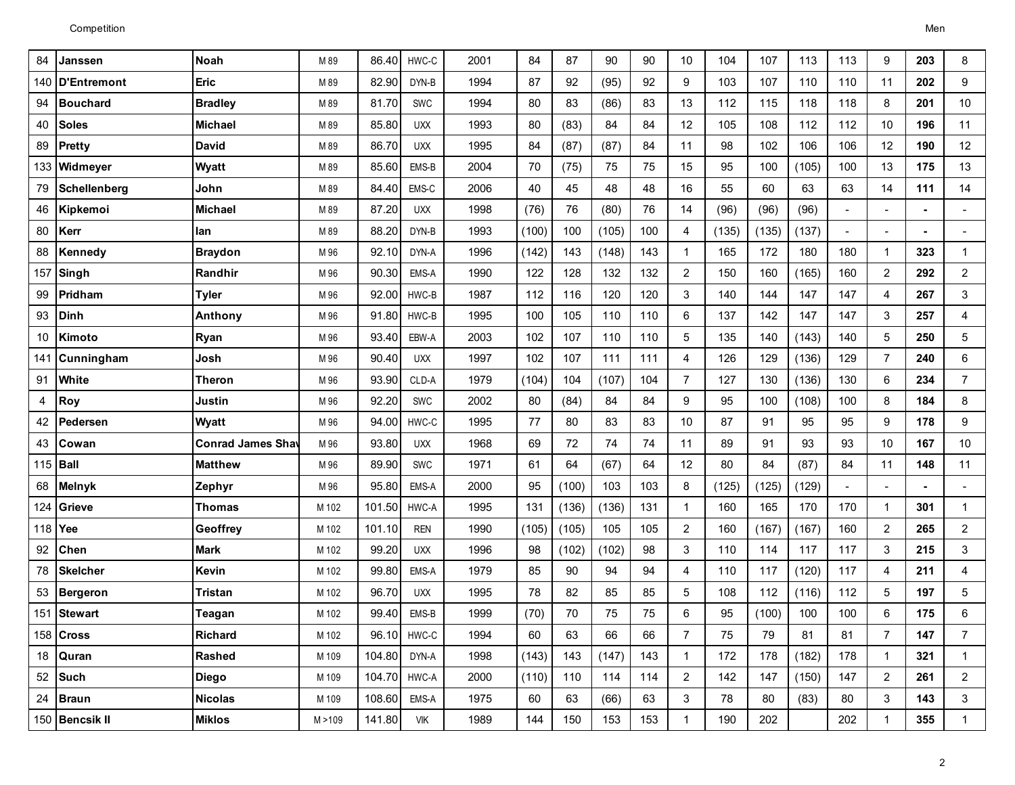| 84             | Janssen             | <b>Noah</b>              | M 89    | 86.40  | HWC-C       | 2001 | 84    | 87    | 90    | 90  | 10             | 104   | 107   | 113   | 113            | 9              | 203 | 8              |
|----------------|---------------------|--------------------------|---------|--------|-------------|------|-------|-------|-------|-----|----------------|-------|-------|-------|----------------|----------------|-----|----------------|
| 140            | D'Entremont         | Eric                     | M 89    | 82.90  | DYN-B       | 1994 | 87    | 92    | (95)  | 92  | 9              | 103   | 107   | 110   | 110            | 11             | 202 | 9              |
| 94             | <b>Bouchard</b>     | <b>Bradley</b>           | M 89    | 81.70  | SWC         | 1994 | 80    | 83    | (86)  | 83  | 13             | 112   | 115   | 118   | 118            | 8              | 201 | 10             |
| 40             | <b>Soles</b>        | Michael                  | M 89    | 85.80  | <b>UXX</b>  | 1993 | 80    | (83)  | 84    | 84  | 12             | 105   | 108   | 112   | 112            | 10             | 196 | 11             |
| 89             | Pretty              | <b>David</b>             | M 89    | 86.70  | <b>UXX</b>  | 1995 | 84    | (87)  | (87)  | 84  | 11             | 98    | 102   | 106   | 106            | 12             | 190 | 12             |
|                | 133 Widmeyer        | <b>Wyatt</b>             | M 89    | 85.60  | EMS-B       | 2004 | 70    | (75)  | 75    | 75  | 15             | 95    | 100   | (105) | 100            | 13             | 175 | 13             |
| 79             | <b>Schellenberg</b> | John                     | M 89    | 84.40  | EMS-C       | 2006 | 40    | 45    | 48    | 48  | 16             | 55    | 60    | 63    | 63             | 14             | 111 | 14             |
| 46             | Kipkemoi            | <b>Michael</b>           | M 89    | 87.20  | <b>UXX</b>  | 1998 | (76)  | 76    | (80)  | 76  | 14             | (96)  | (96)  | (96)  |                | $\blacksquare$ |     | $\blacksquare$ |
| 80             | Kerr                | lan                      | M 89    | 88.20  | DYN-B       | 1993 | (100) | 100   | (105) | 100 | 4              | (135) | (135) | (137) | $\blacksquare$ | $\blacksquare$ |     | $\blacksquare$ |
| 88             | Kennedy             | <b>Braydon</b>           | M 96    | 92.10  | DYN-A       | 1996 | (142) | 143   | (148) | 143 | $\mathbf{1}$   | 165   | 172   | 180   | 180            | $\mathbf 1$    | 323 | $\mathbf 1$    |
| 157            | Singh               | Randhir                  | M 96    | 90.30  | EMS-A       | 1990 | 122   | 128   | 132   | 132 | $\overline{2}$ | 150   | 160   | (165) | 160            | $\overline{2}$ | 292 | $\overline{2}$ |
| 99             | Pridham             | Tyler                    | M 96    | 92.00  | HWC-B       | 1987 | 112   | 116   | 120   | 120 | 3              | 140   | 144   | 147   | 147            | $\overline{4}$ | 267 | 3              |
| 93             | <b>Dinh</b>         | Anthony                  | M 96    | 91.80  | HWC-B       | 1995 | 100   | 105   | 110   | 110 | 6              | 137   | 142   | 147   | 147            | 3              | 257 | 4              |
| 10             | Kimoto              | <b>Ryan</b>              | M 96    | 93.40  | EBW-A       | 2003 | 102   | 107   | 110   | 110 | 5              | 135   | 140   | (143) | 140            | 5              | 250 | 5              |
| 141            | Cunningham          | Josh                     | M 96    | 90.40  | <b>UXX</b>  | 1997 | 102   | 107   | 111   | 111 | 4              | 126   | 129   | (136) | 129            | $\overline{7}$ | 240 | 6              |
| 91             | White               | Theron                   | M 96    | 93.90  | CLD-A       | 1979 | (104) | 104   | (107) | 104 | $\overline{7}$ | 127   | 130   | (136) | 130            | 6              | 234 | $\overline{7}$ |
| $\overline{4}$ | Roy                 | Justin                   | M 96    | 92.20  | SWC         | 2002 | 80    | (84)  | 84    | 84  | 9              | 95    | 100   | (108) | 100            | 8              | 184 | 8              |
| 42             | Pedersen            | Wyatt                    | M 96    | 94.00  | HWC-C       | 1995 | 77    | 80    | 83    | 83  | 10             | 87    | 91    | 95    | 95             | 9              | 178 | 9              |
| 43             | Cowan               | <b>Conrad James Shav</b> | M 96    | 93.80  | <b>UXX</b>  | 1968 | 69    | 72    | 74    | 74  | 11             | 89    | 91    | 93    | 93             | 10             | 167 | 10             |
| 115            | Ball                | <b>Matthew</b>           | M 96    | 89.90  | <b>SWC</b>  | 1971 | 61    | 64    | (67)  | 64  | 12             | 80    | 84    | (87)  | 84             | 11             | 148 | 11             |
| 68             | <b>Melnyk</b>       | Zephyr                   | M 96    | 95.80  | EMS-A       | 2000 | 95    | (100) | 103   | 103 | 8              | (125) | (125) | (129) |                | $\overline{a}$ |     | $\blacksquare$ |
| 124            | <b>Grieve</b>       | Thomas                   | M 102   | 101.50 | HWC-A       | 1995 | 131   | (136) | (136) | 131 | $\mathbf{1}$   | 160   | 165   | 170   | 170            | $\mathbf{1}$   | 301 | $\mathbf{1}$   |
| 118 Yee        |                     | Geoffrey                 | M 102   | 101.10 | <b>REN</b>  | 1990 | (105) | (105) | 105   | 105 | $\overline{c}$ | 160   | (167) | (167) | 160            | $\overline{2}$ | 265 | $\overline{c}$ |
| 92             | <b>Chen</b>         | <b>Mark</b>              | M 102   | 99.20  | <b>UXX</b>  | 1996 | 98    | (102) | (102) | 98  | 3              | 110   | 114   | 117   | 117            | 3              | 215 | 3              |
| 78             | <b>Skelcher</b>     | Kevin                    | M 102   | 99.80  | EMS-A       | 1979 | 85    | 90    | 94    | 94  | 4              | 110   | 117   | (120) | 117            | $\overline{4}$ | 211 | 4              |
| 53             | Bergeron            | Tristan                  | M 102   | 96.70  | <b>UXX</b>  | 1995 | 78    | 82    | 85    | 85  | 5              | 108   | 112   | (116) | 112            | 5              | 197 | 5              |
| 151            | Stewart             | Teagan                   | M 102   | 99.40  | EMS-B       | 1999 | (70)  | 70    | 75    | 75  | 6              | 95    | (100) | 100   | 100            | 6              | 175 | 6              |
|                | 158 Cross           | <b>Richard</b>           | M 102   |        | 96.10 HWC-C | 1994 | 60    | 63    | 66    | 66  | $\overline{7}$ | 75    | 79    | 81    | 81             | $\overline{7}$ | 147 | 7              |
|                | 18 Quran            | <b>Rashed</b>            | M 109   | 104.80 | DYN-A       | 1998 | (143) | 143   | (147) | 143 | $\mathbf{1}$   | 172   | 178   | (182) | 178            | $\mathbf{1}$   | 321 | $\mathbf{1}$   |
|                | 52 Such             | <b>Diego</b>             | M 109   | 104.70 | HWC-A       | 2000 | (110) | 110   | 114   | 114 | $\overline{2}$ | 142   | 147   | (150) | 147            | $\overline{2}$ | 261 | $\overline{2}$ |
| 24             | Braun               | <b>Nicolas</b>           | M 109   | 108.60 | EMS-A       | 1975 | 60    | 63    | (66)  | 63  | 3              | 78    | 80    | (83)  | 80             | 3              | 143 | 3              |
|                | 150 Bencsik II      | <b>Miklos</b>            | M > 109 | 141.80 | VIK         | 1989 | 144   | 150   | 153   | 153 | $\mathbf{1}$   | 190   | 202   |       | 202            | 1              | 355 | $\mathbf{1}$   |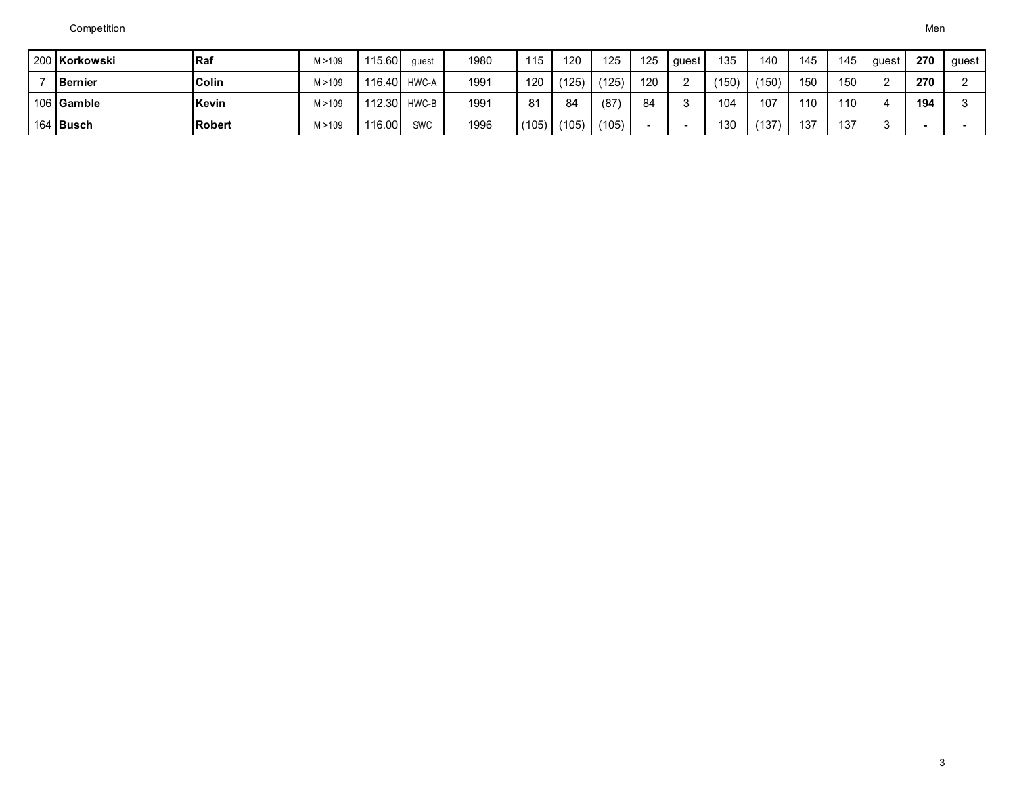| 200 Korkowski  | l Raf          | M > 109 | 115.60       | quest        | 1980 | 115           | 120   | 125   | 125 | quest       | 135   | 140   | 145 | 145 | auest | 270 | guest |
|----------------|----------------|---------|--------------|--------------|------|---------------|-------|-------|-----|-------------|-------|-------|-----|-----|-------|-----|-------|
| <b>Bernier</b> | <b>Colin</b>   | M > 109 |              | 116.40 HWC-A | 1991 | 120           | (125) | (125) | 120 | $\sim$<br>∼ | (150) | (150) | 150 | 150 |       | 270 |       |
| 106 Gamble     | Kevin          | M > 109 | 112.30 HWC-B |              | 1991 | 81            | 84    | (87)  | 84  |             | 104   | 107   | 110 | 110 |       | 194 |       |
| 164 Busch      | <b>IRobert</b> | M > 109 | 116.00       | <b>SWC</b>   | 1996 | $(105)$ $\mu$ | (105) | (105) |     |             | 130   | (137) | 137 | 137 |       |     |       |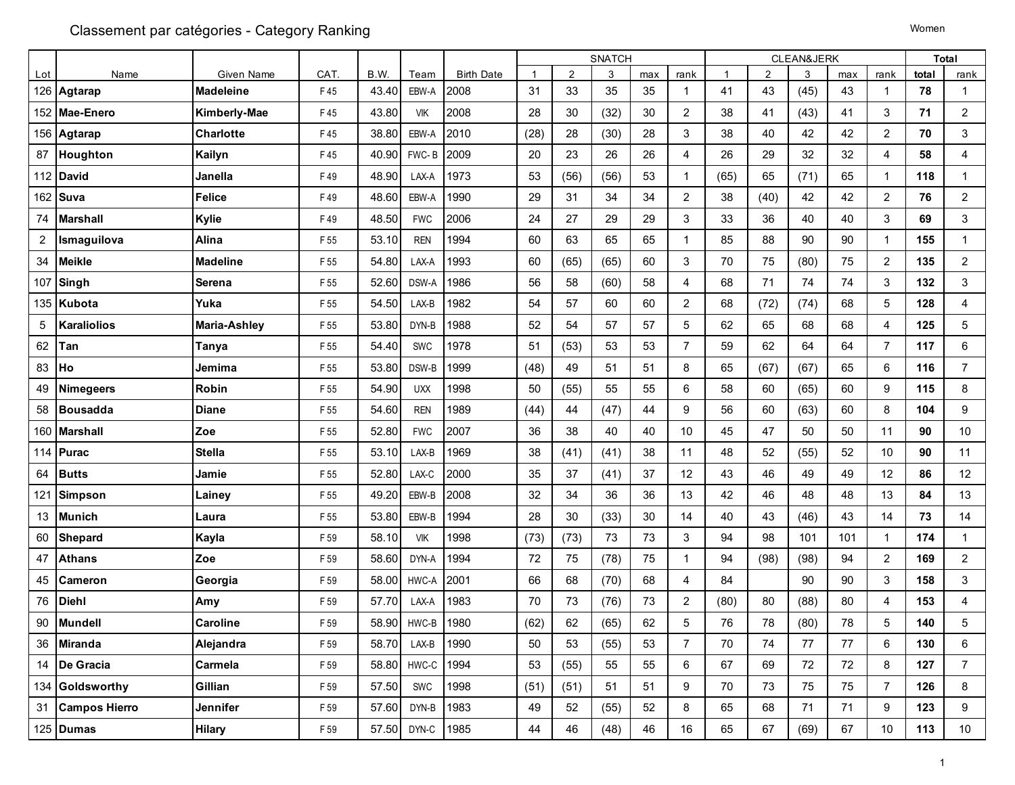| Lot            | Name                 | Given Name       | CAT. | B.W.  | Team       | <b>Birth Date</b> | -1   | 2    | 3    | max | rank           | -1   | 2    | 3    | max | rank           | total | rank                    |
|----------------|----------------------|------------------|------|-------|------------|-------------------|------|------|------|-----|----------------|------|------|------|-----|----------------|-------|-------------------------|
|                | 126 Agtarap          | <b>Madeleine</b> | F45  | 43.40 | EBW-A      | 2008              | 31   | 33   | 35   | 35  | $\overline{1}$ | 41   | 43   | (45) | 43  | $\mathbf{1}$   | 78    | $\mathbf{1}$            |
|                | 152 Mae-Enero        | Kimberly-Mae     | F45  | 43.80 | VIK        | 2008              | 28   | 30   | (32) | 30  | $\overline{2}$ | 38   | 41   | (43) | 41  | 3              | 71    | $\overline{\mathbf{c}}$ |
|                | 156 Agtarap          | Charlotte        | F45  | 38.80 | EBW-A      | 2010              | (28) | 28   | (30) | 28  | 3              | 38   | 40   | 42   | 42  | $\overline{2}$ | 70    | $\mathbf{3}$            |
| 87             | Houghton             | Kailyn           | F45  | 40.90 | FWC-B      | 2009              | 20   | 23   | 26   | 26  | 4              | 26   | 29   | 32   | 32  | $\overline{4}$ | 58    | $\overline{4}$          |
|                | 112 David            | Janella          | F49  | 48.90 | LAX-A      | 1973              | 53   | (56) | (56) | 53  | $\overline{1}$ | (65) | 65   | (71) | 65  | $\mathbf{1}$   | 118   | $\mathbf{1}$            |
| 162            | Suva                 | <b>Felice</b>    | F49  | 48.60 | EBW-A      | 1990              | 29   | 31   | 34   | 34  | $\overline{2}$ | 38   | (40) | 42   | 42  | $\overline{c}$ | 76    | $\overline{c}$          |
| 74             | <b>Marshall</b>      | Kylie            | F49  | 48.50 | <b>FWC</b> | 2006              | 24   | 27   | 29   | 29  | 3              | 33   | 36   | 40   | 40  | $\mathbf{3}$   | 69    | $\mathbf{3}$            |
| $\overline{2}$ | Ismaguilova          | Alina            | F 55 | 53.10 | <b>REN</b> | 1994              | 60   | 63   | 65   | 65  | $\mathbf{1}$   | 85   | 88   | 90   | 90  | $\mathbf{1}$   | 155   | $\mathbf{1}$            |
| 34             | <b>Meikle</b>        | <b>Madeline</b>  | F 55 | 54.80 | LAX-A      | 1993              | 60   | (65) | (65) | 60  | 3              | 70   | 75   | (80) | 75  | $\overline{c}$ | 135   | $\overline{a}$          |
|                | 107 Singh            | Serena           | F 55 | 52.60 | DSW-A      | 1986              | 56   | 58   | (60) | 58  | $\overline{4}$ | 68   | 71   | 74   | 74  | 3              | 132   | 3                       |
|                | 135 Kubota           | Yuka             | F 55 | 54.50 | LAX-B      | 1982              | 54   | 57   | 60   | 60  | $\overline{2}$ | 68   | (72) | (74) | 68  | 5              | 128   | 4                       |
| 5              | <b>Karaliolios</b>   | Maria-Ashley     | F 55 | 53.80 | DYN-B      | 1988              | 52   | 54   | 57   | 57  | 5              | 62   | 65   | 68   | 68  | $\overline{4}$ | 125   | 5                       |
| 62             | Tan                  | Tanya            | F 55 | 54.40 | <b>SWC</b> | 1978              | 51   | (53) | 53   | 53  | $\overline{7}$ | 59   | 62   | 64   | 64  | $\overline{7}$ | 117   | $\,6\,$                 |
| 83             | Ho                   | Jemima           | F 55 | 53.80 | DSW-B      | 1999              | (48) | 49   | 51   | 51  | 8              | 65   | (67) | (67) | 65  | 6              | 116   | $\overline{7}$          |
| 49             | <b>Nimegeers</b>     | Robin            | F 55 | 54.90 | <b>UXX</b> | 1998              | 50   | (55) | 55   | 55  | 6              | 58   | 60   | (65) | 60  | 9              | 115   | 8                       |
| 58             | <b>Bousadda</b>      | <b>Diane</b>     | F 55 | 54.60 | <b>REN</b> | 1989              | (44) | 44   | (47) | 44  | 9              | 56   | 60   | (63) | 60  | 8              | 104   | 9                       |
| 160            | <b>Marshall</b>      | Zoe              | F 55 | 52.80 | <b>FWC</b> | 2007              | 36   | 38   | 40   | 40  | 10             | 45   | 47   | 50   | 50  | 11             | 90    | 10                      |
| 114            | <b>Purac</b>         | <b>Stella</b>    | F 55 | 53.10 | LAX-B      | 1969              | 38   | (41) | (41) | 38  | 11             | 48   | 52   | (55) | 52  | 10             | 90    | 11                      |
| 64             | <b>Butts</b>         | Jamie            | F 55 | 52.80 | LAX-C      | 2000              | 35   | 37   | (41) | 37  | 12             | 43   | 46   | 49   | 49  | 12             | 86    | 12                      |
| 121            | <b>Simpson</b>       | Lainey           | F 55 | 49.20 | EBW-B      | 2008              | 32   | 34   | 36   | 36  | 13             | 42   | 46   | 48   | 48  | 13             | 84    | 13                      |
| 13             | <b>Munich</b>        | Laura            | F 55 | 53.80 | EBW-B      | 1994              | 28   | 30   | (33) | 30  | 14             | 40   | 43   | (46) | 43  | 14             | 73    | 14                      |
| 60             | Shepard              | Kayla            | F 59 | 58.10 | VIK        | 1998              | (73) | (73) | 73   | 73  | 3              | 94   | 98   | 101  | 101 | -1             | 174   | $\mathbf{1}$            |
| 47             | <b>Athans</b>        | Zoe              | F 59 | 58.60 | DYN-A      | 1994              | 72   | 75   | (78) | 75  | $\mathbf{1}$   | 94   | (98) | (98) | 94  | $\overline{c}$ | 169   | $\overline{2}$          |
| 45             | <b>Cameron</b>       | Georgia          | F 59 | 58.00 | HWC-A      | 2001              | 66   | 68   | (70) | 68  | $\overline{4}$ | 84   |      | 90   | 90  | 3              | 158   | $\mathbf{3}$            |
| 76             | <b>Diehl</b>         | Amy              | F 59 | 57.70 | LAX-A      | 1983              | 70   | 73   | (76) | 73  | $\overline{2}$ | (80) | 80   | (88) | 80  | $\overline{4}$ | 153   | $\overline{4}$          |
| 90             | <b>Mundell</b>       | Caroline         | F 59 | 58.90 | HWC-B      | 1980              | (62) | 62   | (65) | 62  | $\sqrt{5}$     | 76   | 78   | (80) | 78  | 5              | 140   | $\overline{5}$          |
| 36             | <b>Miranda</b>       | Alejandra        | F 59 | 58.70 | LAX-B      | 1990              | 50   | 53   | (55) | 53  | $\overline{7}$ | 70   | 74   | 77   | 77  | 6              | 130   | $\,6\,$                 |
| 14             | De Gracia            | Carmela          | F 59 | 58.80 | HWC-C      | 1994              | 53   | (55) | 55   | 55  | 6              | 67   | 69   | 72   | 72  | 8              | 127   | $\overline{7}$          |
|                | 134 Goldsworthy      | Gillian          | F 59 | 57.50 | <b>SWC</b> | 1998              | (51) | (51) | 51   | 51  | 9              | 70   | 73   | 75   | 75  | $\overline{7}$ | 126   | 8                       |
| 31             | <b>Campos Hierro</b> | Jennifer         | F 59 | 57.60 | DYN-B      | 1983              | 49   | 52   | (55) | 52  | 8              | 65   | 68   | 71   | 71  | 9              | 123   | 9                       |
|                | 125 Dumas            | Hilary           | F 59 | 57.50 | DYN-C      | 1985              | 44   | 46   | (48) | 46  | 16             | 65   | 67   | (69) | 67  | 10             | 113   | 10                      |
|                |                      |                  |      |       |            |                   |      |      |      |     |                |      |      |      |     |                |       |                         |

SNATCH CLEAN&JERK

**Total**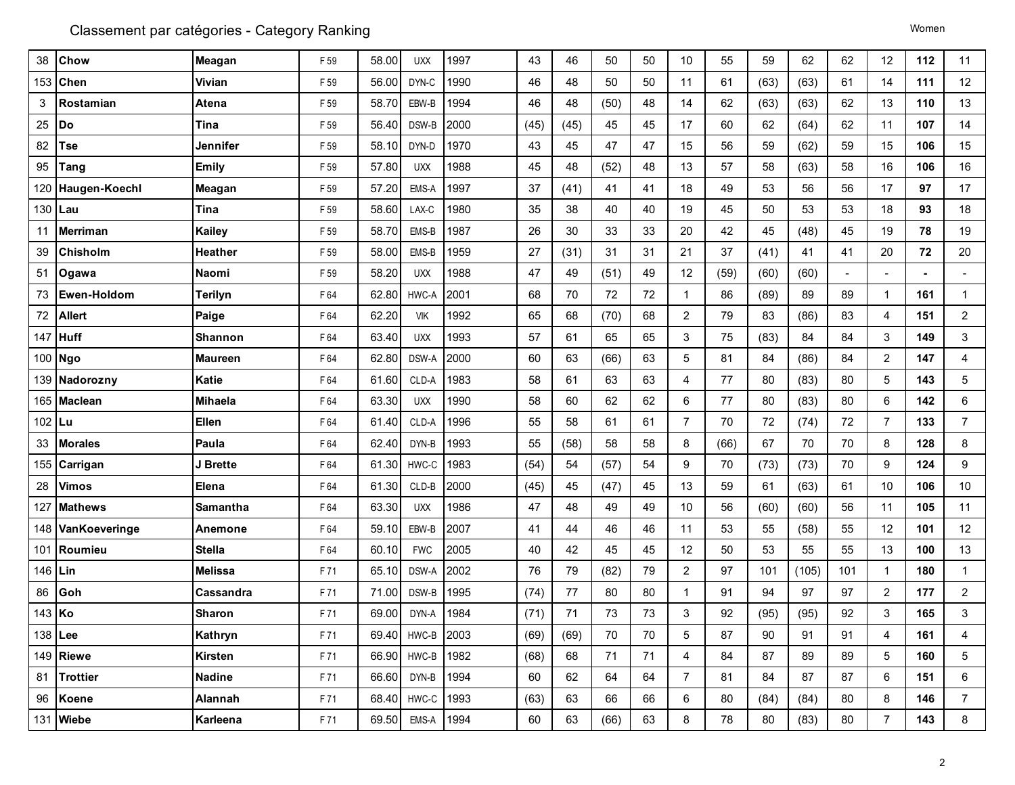| 38     | Chow            | Meagan         | F 59 | 58.00 | <b>UXX</b>       | 1997 | 43   | 46   | 50   | 50 | 10             | 55   | 59   | 62    | 62             | 12             | 112            | 11             |
|--------|-----------------|----------------|------|-------|------------------|------|------|------|------|----|----------------|------|------|-------|----------------|----------------|----------------|----------------|
| 153    | Chen            | Vivian         | F 59 | 56.00 | DYN-C            | 1990 | 46   | 48   | 50   | 50 | 11             | 61   | (63) | (63)  | 61             | 14             | 111            | 12             |
| 3      | Rostamian       | Atena          | F 59 | 58.70 | EBW-B            | 1994 | 46   | 48   | (50) | 48 | 14             | 62   | (63) | (63)  | 62             | 13             | 110            | 13             |
| 25     | Do              | Tina           | F 59 | 56.40 | DSW-B            | 2000 | (45) | (45) | 45   | 45 | 17             | 60   | 62   | (64)  | 62             | 11             | 107            | 14             |
| 82     | Tse             | Jennifer       | F 59 | 58.10 | DYN-D            | 1970 | 43   | 45   | 47   | 47 | 15             | 56   | 59   | (62)  | 59             | 15             | 106            | 15             |
| 95     | Tang            | <b>Emily</b>   | F 59 | 57.80 | <b>UXX</b>       | 1988 | 45   | 48   | (52) | 48 | 13             | 57   | 58   | (63)  | 58             | 16             | 106            | 16             |
| 120    | Haugen-Koechl   | Meagan         | F 59 | 57.20 | EMS-A            | 1997 | 37   | (41) | 41   | 41 | 18             | 49   | 53   | 56    | 56             | 17             | 97             | 17             |
|        | 130 Lau         | Tina           | F 59 | 58.60 | LAX-C            | 1980 | 35   | 38   | 40   | 40 | 19             | 45   | 50   | 53    | 53             | 18             | 93             | 18             |
| 11     | <b>Merriman</b> | <b>Kailey</b>  | F 59 | 58.70 | EMS-B            | 1987 | 26   | 30   | 33   | 33 | 20             | 42   | 45   | (48)  | 45             | 19             | 78             | 19             |
| 39     | Chisholm        | Heather        | F 59 | 58.00 | EMS-B            | 1959 | 27   | (31) | 31   | 31 | 21             | 37   | (41) | 41    | 41             | 20             | 72             | 20             |
| 51     | Ogawa           | Naomi          | F 59 | 58.20 | <b>UXX</b>       | 1988 | 47   | 49   | (51) | 49 | 12             | (59) | (60) | (60)  | $\blacksquare$ | $\sim$         | $\blacksquare$ | $\blacksquare$ |
| 73     | Ewen-Holdom     | Terilyn        | F 64 | 62.80 | HWC-A            | 2001 | 68   | 70   | 72   | 72 | $\mathbf{1}$   | 86   | (89) | 89    | 89             | 1              | 161            | $\mathbf{1}$   |
| 72     | <b>Allert</b>   | Paige          | F 64 | 62.20 | <b>VIK</b>       | 1992 | 65   | 68   | (70) | 68 | $\overline{2}$ | 79   | 83   | (86)  | 83             | $\overline{4}$ | 151            | $\overline{2}$ |
|        | 147 Huff        | Shannon        | F 64 | 63.40 | <b>UXX</b>       | 1993 | 57   | 61   | 65   | 65 | 3              | 75   | (83) | 84    | 84             | 3              | 149            | 3              |
|        | 100 Ngo         | <b>Maureen</b> | F 64 | 62.80 | DSW-A            | 2000 | 60   | 63   | (66) | 63 | 5              | 81   | 84   | (86)  | 84             | $\overline{2}$ | 147            | $\overline{4}$ |
|        | 139 Nadorozny   | <b>Katie</b>   | F 64 | 61.60 | CLD-A            | 1983 | 58   | 61   | 63   | 63 | 4              | 77   | 80   | (83)  | 80             | 5              | 143            | 5              |
|        | 165 Maclean     | Mihaela        | F 64 | 63.30 | <b>UXX</b>       | 1990 | 58   | 60   | 62   | 62 | 6              | 77   | 80   | (83)  | 80             | 6              | 142            | 6              |
| 102 Lu |                 | <b>Ellen</b>   | F 64 | 61.40 | CLD-A            | 1996 | 55   | 58   | 61   | 61 | $\overline{7}$ | 70   | 72   | (74)  | 72             | $\overline{7}$ | 133            | $\overline{7}$ |
| 33     | <b>Morales</b>  | Paula          | F 64 | 62.40 | DYN-B            | 1993 | 55   | (58) | 58   | 58 | 8              | (66) | 67   | 70    | 70             | 8              | 128            | 8              |
| 155    | Carrigan        | J Brette       | F 64 | 61.30 | HWC-C            | 1983 | (54) | 54   | (57) | 54 | 9              | 70   | (73) | (73)  | 70             | 9              | 124            | 9              |
| 28     | Vimos           | Elena          | F 64 | 61.30 | CLD-B            | 2000 | (45) | 45   | (47) | 45 | 13             | 59   | 61   | (63)  | 61             | 10             | 106            | 10             |
| 127    | <b>Mathews</b>  | Samantha       | F64  | 63.30 | <b>UXX</b>       | 1986 | 47   | 48   | 49   | 49 | 10             | 56   | (60) | (60)  | 56             | 11             | 105            | 11             |
| 148    | VanKoeveringe   | Anemone        | F 64 | 59.10 | EBW-B            | 2007 | 41   | 44   | 46   | 46 | 11             | 53   | 55   | (58)  | 55             | 12             | 101            | 12             |
|        | 101 Roumieu     | <b>Stella</b>  | F 64 | 60.10 | <b>FWC</b>       | 2005 | 40   | 42   | 45   | 45 | 12             | 50   | 53   | 55    | 55             | 13             | 100            | 13             |
| 146    | l Lin           | <b>Melissa</b> | F71  | 65.10 | DSW-A            | 2002 | 76   | 79   | (82) | 79 | $\overline{2}$ | 97   | 101  | (105) | 101            | 1.             | 180            | $\mathbf{1}$   |
| 86     | Goh             | Cassandra      | F71  | 71.00 | DSW-B            | 1995 | (74) | 77   | 80   | 80 | $\mathbf{1}$   | 91   | 94   | 97    | 97             | $\overline{2}$ | 177            | $\overline{2}$ |
| 143 Ko |                 | <b>Sharon</b>  | F71  | 69.00 | DYN-A            | 1984 | (71) | 71   | 73   | 73 | 3              | 92   | (95) | (95)  | 92             | 3              | 165            | 3              |
|        | 138 Lee         | Kathryn        | F 71 |       | 69.40 HWC-B 2003 |      | (69) | (69) | 70   | 70 | 5              | 87   | 90   | 91    | 91             | 4              | 161            | 4              |
|        | 149 Riewe       | Kirsten        | F 71 | 66.90 | HWC-B            | 1982 | (68) | 68   | 71   | 71 | 4              | 84   | 87   | 89    | 89             | 5              | 160            | 5              |
|        | 81 Trottier     | <b>Nadine</b>  | F 71 | 66.60 | DYN-B            | 1994 | 60   | 62   | 64   | 64 | $\overline{7}$ | 81   | 84   | 87    | 87             | 6              | 151            | 6              |
|        | 96 Koene        | Alannah        | F 71 | 68.40 | HWC-C            | 1993 | (63) | 63   | 66   | 66 | 6              | 80   | (84) | (84)  | 80             | 8              | 146            | $\overline{7}$ |
|        | 131 Wiebe       | Karleena       | F 71 | 69.50 | EMS-A            | 1994 | 60   | 63   | (66) | 63 | 8              | 78   | 80   | (83)  | 80             | $\overline{7}$ | 143            | 8              |